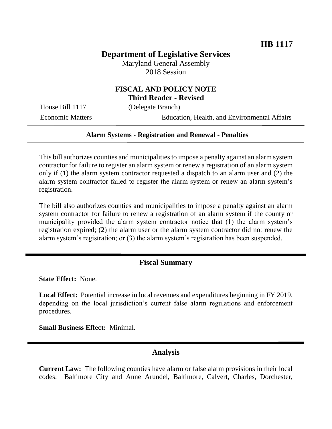# **Department of Legislative Services**

Maryland General Assembly 2018 Session

### **FISCAL AND POLICY NOTE Third Reader - Revised**

House Bill 1117 (Delegate Branch)

Economic Matters Education, Health, and Environmental Affairs

#### **Alarm Systems - Registration and Renewal - Penalties**

This bill authorizes counties and municipalities to impose a penalty against an alarm system contractor for failure to register an alarm system or renew a registration of an alarm system only if (1) the alarm system contractor requested a dispatch to an alarm user and (2) the alarm system contractor failed to register the alarm system or renew an alarm system's registration.

The bill also authorizes counties and municipalities to impose a penalty against an alarm system contractor for failure to renew a registration of an alarm system if the county or municipality provided the alarm system contractor notice that (1) the alarm system's registration expired; (2) the alarm user or the alarm system contractor did not renew the alarm system's registration; or (3) the alarm system's registration has been suspended.

#### **Fiscal Summary**

**State Effect:** None.

**Local Effect:** Potential increase in local revenues and expenditures beginning in FY 2019, depending on the local jurisdiction's current false alarm regulations and enforcement procedures.

**Small Business Effect:** Minimal.

### **Analysis**

**Current Law:** The following counties have alarm or false alarm provisions in their local codes: Baltimore City and Anne Arundel, Baltimore, Calvert, Charles, Dorchester,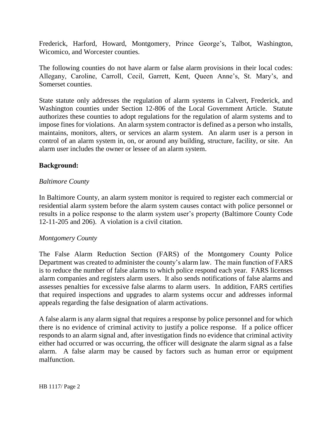Frederick, Harford, Howard, Montgomery, Prince George's, Talbot, Washington, Wicomico, and Worcester counties.

The following counties do not have alarm or false alarm provisions in their local codes: Allegany, Caroline, Carroll, Cecil, Garrett, Kent, Queen Anne's, St. Mary's, and Somerset counties.

State statute only addresses the regulation of alarm systems in Calvert, Frederick, and Washington counties under Section 12-806 of the Local Government Article. Statute authorizes these counties to adopt regulations for the regulation of alarm systems and to impose fines for violations. An alarm system contractor is defined as a person who installs, maintains, monitors, alters, or services an alarm system. An alarm user is a person in control of an alarm system in, on, or around any building, structure, facility, or site. An alarm user includes the owner or lessee of an alarm system.

### **Background:**

### *Baltimore County*

In Baltimore County, an alarm system monitor is required to register each commercial or residential alarm system before the alarm system causes contact with police personnel or results in a police response to the alarm system user's property (Baltimore County Code 12-11-205 and 206). A violation is a civil citation.

### *Montgomery County*

The False Alarm Reduction Section (FARS) of the Montgomery County Police Department was created to administer the county's alarm law. The main function of FARS is to reduce the number of false alarms to which police respond each year. FARS licenses alarm companies and registers alarm users. It also sends notifications of false alarms and assesses penalties for excessive false alarms to alarm users. In addition, FARS certifies that required inspections and upgrades to alarm systems occur and addresses informal appeals regarding the false designation of alarm activations.

A false alarm is any alarm signal that requires a response by police personnel and for which there is no evidence of criminal activity to justify a police response. If a police officer responds to an alarm signal and, after investigation finds no evidence that criminal activity either had occurred or was occurring, the officer will designate the alarm signal as a false alarm. A false alarm may be caused by factors such as human error or equipment malfunction.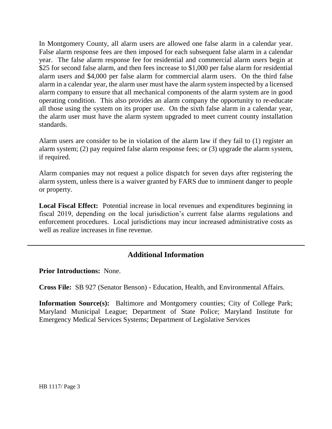In Montgomery County, all alarm users are allowed one false alarm in a calendar year. False alarm response fees are then imposed for each subsequent false alarm in a calendar year. The false alarm response fee for residential and commercial alarm users begin at \$25 for second false alarm, and then fees increase to \$1,000 per false alarm for residential alarm users and \$4,000 per false alarm for commercial alarm users. On the third false alarm in a calendar year, the alarm user must have the alarm system inspected by a licensed alarm company to ensure that all mechanical components of the alarm system are in good operating condition. This also provides an alarm company the opportunity to re-educate all those using the system on its proper use. On the sixth false alarm in a calendar year, the alarm user must have the alarm system upgraded to meet current county installation standards.

Alarm users are consider to be in violation of the alarm law if they fail to (1) register an alarm system; (2) pay required false alarm response fees; or (3) upgrade the alarm system, if required.

Alarm companies may not request a police dispatch for seven days after registering the alarm system, unless there is a waiver granted by FARS due to imminent danger to people or property.

**Local Fiscal Effect:** Potential increase in local revenues and expenditures beginning in fiscal 2019, depending on the local jurisdiction's current false alarms regulations and enforcement procedures. Local jurisdictions may incur increased administrative costs as well as realize increases in fine revenue.

# **Additional Information**

**Prior Introductions:** None.

**Cross File:** SB 927 (Senator Benson) - Education, Health, and Environmental Affairs.

**Information Source(s):** Baltimore and Montgomery counties; City of College Park; Maryland Municipal League; Department of State Police; Maryland Institute for Emergency Medical Services Systems; Department of Legislative Services